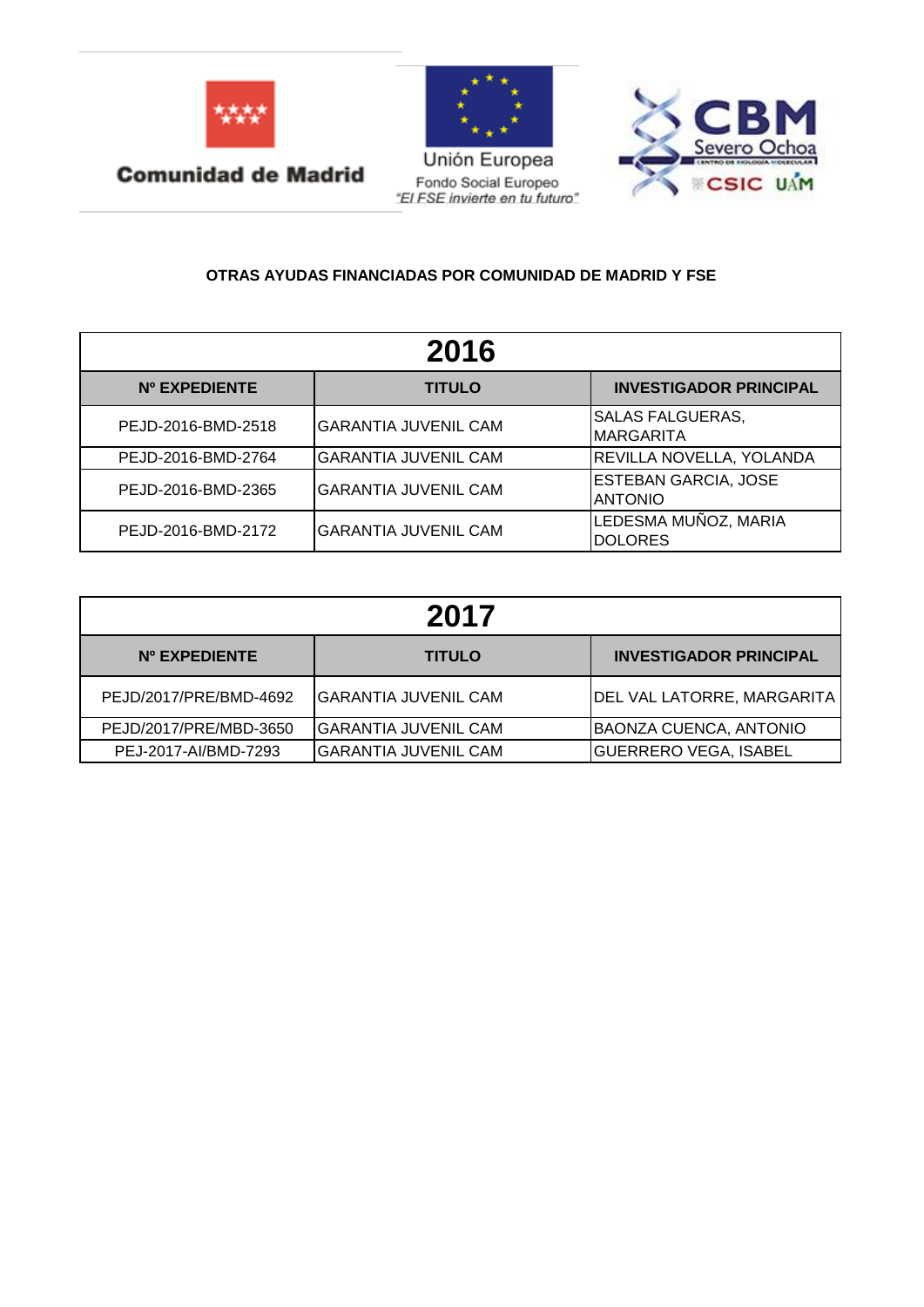



Fondo Social Europeo<br>"El FSE invierte en tu futuro"



## **OTRAS AYUDAS FINANCIADAS POR COMUNIDAD DE MADRID Y FSE**

| 2016               |                             |                                               |
|--------------------|-----------------------------|-----------------------------------------------|
| Nº EXPEDIENTE      | <b>TITULO</b>               | <b>INVESTIGADOR PRINCIPAL</b>                 |
| PEJD-2016-BMD-2518 | <b>GARANTIA JUVENIL CAM</b> | <b>SALAS FALGUERAS,</b><br><b>MARGARITA</b>   |
| PEJD-2016-BMD-2764 | <b>GARANTIA JUVENIL CAM</b> | REVILLA NOVELLA, YOLANDA                      |
| PEJD-2016-BMD-2365 | <b>GARANTIA JUVENIL CAM</b> | <b>ESTEBAN GARCIA, JOSE</b><br><b>ANTONIO</b> |
| PEJD-2016-BMD-2172 | <b>GARANTIA JUVENIL CAM</b> | LEDESMA MUÑOZ, MARIA<br><b>DOLORES</b>        |

| 2017                   |                             |                               |
|------------------------|-----------------------------|-------------------------------|
| Nº EXPEDIENTE          | <b>TITULO</b>               | <b>INVESTIGADOR PRINCIPAL</b> |
| PEJD/2017/PRE/BMD-4692 | GARANTIA JUVENIL CAM        | DEL VAL LATORRE, MARGARITA    |
| PEJD/2017/PRE/MBD-3650 | GARANTIA JUVENIL CAM        | <b>BAONZA CUENCA, ANTONIO</b> |
| PEJ-2017-AI/BMD-7293   | <b>GARANTIA JUVENIL CAM</b> | <b>GUERRERO VEGA, ISABEL</b>  |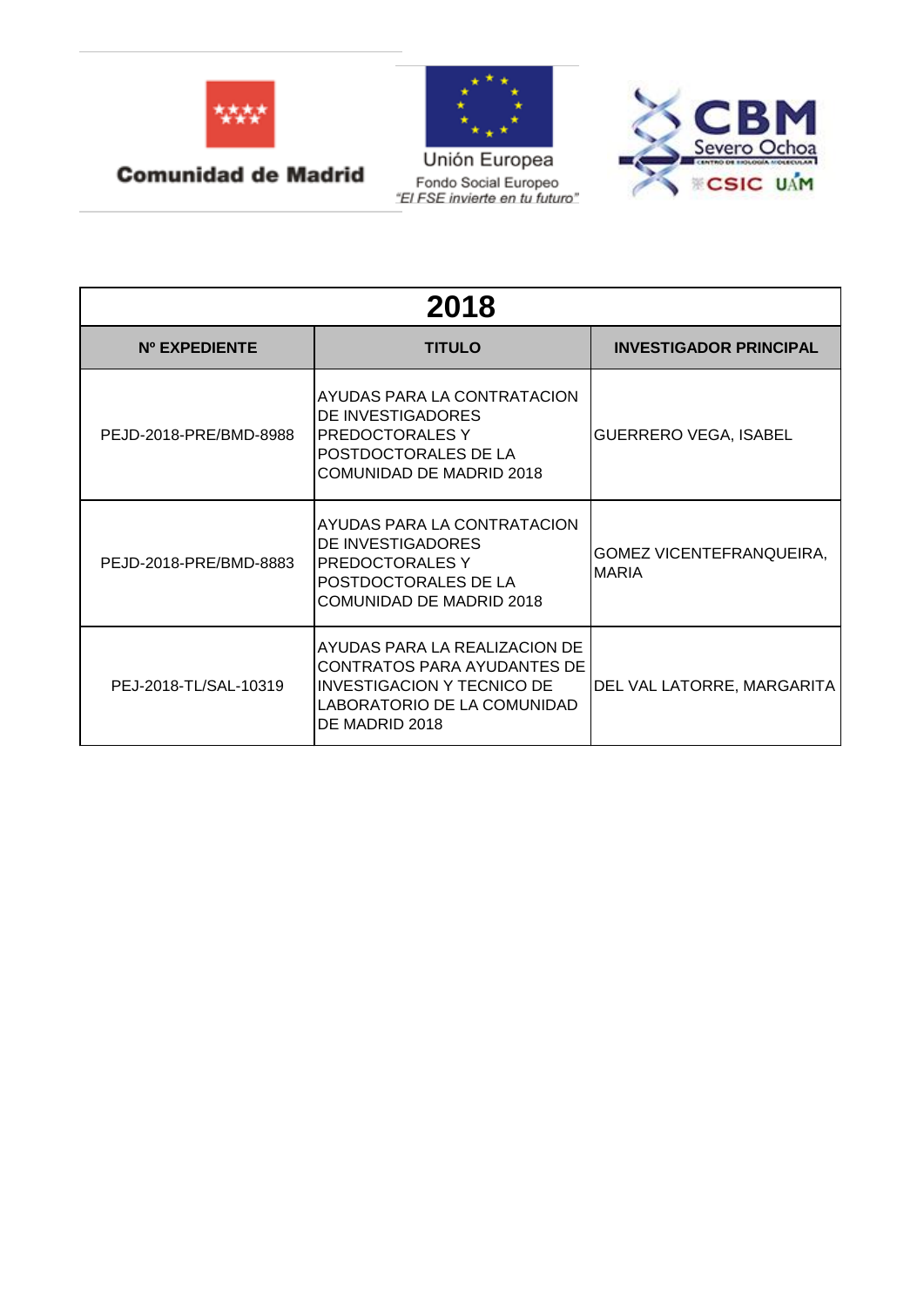



Unión Europea Fondo Social Europeo<br>"El FSE invierte en tu futuro"



| 2018                   |                                                                                                                                                    |                                          |
|------------------------|----------------------------------------------------------------------------------------------------------------------------------------------------|------------------------------------------|
| Nº EXPEDIENTE          | <b>TITULO</b>                                                                                                                                      | <b>INVESTIGADOR PRINCIPAL</b>            |
| PEJD-2018-PRE/BMD-8988 | AYUDAS PARA LA CONTRATACION<br>DE INVESTIGADORES<br>PREDOCTORALES Y<br>POSTDOCTORALES DE LA<br>COMUNIDAD DE MADRID 2018                            | <b>GUERRERO VEGA, ISABEL</b>             |
| PEJD-2018-PRE/BMD-8883 | AYUDAS PARA LA CONTRATACION<br>DE INVESTIGADORES<br>PREDOCTORALES Y<br>POSTDOCTORALES DE LA<br>COMUNIDAD DE MADRID 2018                            | GOMEZ VICENTEFRANQUEIRA,<br><b>MARIA</b> |
| PEJ-2018-TL/SAL-10319  | AYUDAS PARA LA REALIZACION DE<br>CONTRATOS PARA AYUDANTES DE<br><b>INVESTIGACION Y TECNICO DE</b><br>LABORATORIO DE LA COMUNIDAD<br>DE MADRID 2018 | DEL VAL LATORRE, MARGARITA               |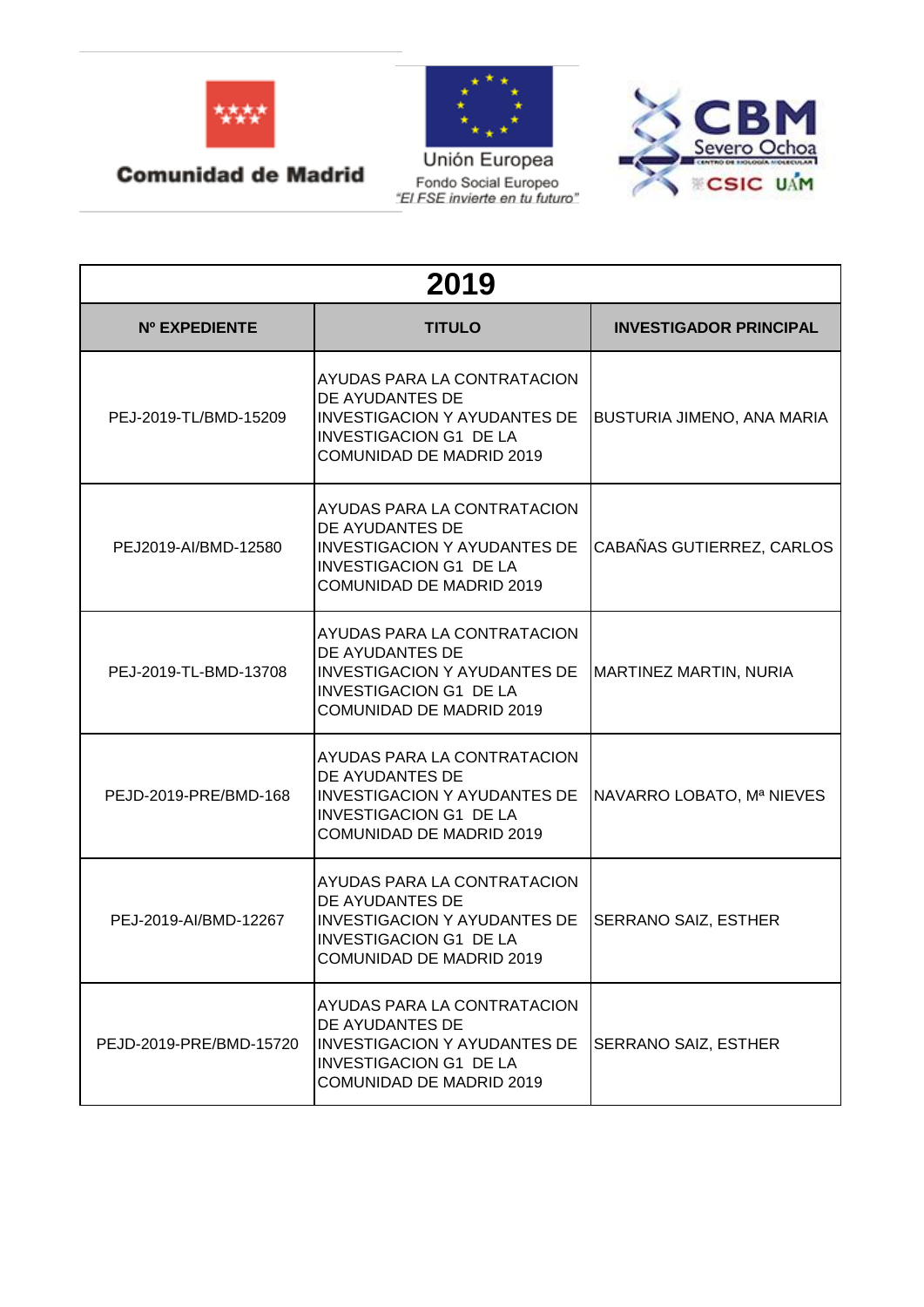



Unión Europea Fondo Social Europeo<br>"El FSE invierte en tu futuro"



| 2019                    |                                                                                                                                                    |                               |
|-------------------------|----------------------------------------------------------------------------------------------------------------------------------------------------|-------------------------------|
| <b>Nº EXPEDIENTE</b>    | <b>TITULO</b>                                                                                                                                      | <b>INVESTIGADOR PRINCIPAL</b> |
| PEJ-2019-TL/BMD-15209   | AYUDAS PARA LA CONTRATACION<br>DE AYUDANTES DE<br><b>INVESTIGACION Y AYUDANTES DE</b><br><b>INVESTIGACION G1 DE LA</b><br>COMUNIDAD DE MADRID 2019 | BUSTURIA JIMENO, ANA MARIA    |
| PEJ2019-Al/BMD-12580    | AYUDAS PARA LA CONTRATACION<br>DE AYUDANTES DE<br><b>INVESTIGACION Y AYUDANTES DE</b><br><b>INVESTIGACION G1 DE LA</b><br>COMUNIDAD DE MADRID 2019 | CABAÑAS GUTIERREZ, CARLOS     |
| PEJ-2019-TL-BMD-13708   | AYUDAS PARA LA CONTRATACION<br>DE AYUDANTES DE<br><b>INVESTIGACION Y AYUDANTES DE</b><br><b>INVESTIGACION G1 DE LA</b><br>COMUNIDAD DE MADRID 2019 | MARTINEZ MARTIN, NURIA        |
| PEJD-2019-PRE/BMD-168   | AYUDAS PARA LA CONTRATACION<br>DE AYUDANTES DE<br><b>INVESTIGACION Y AYUDANTES DE</b><br><b>INVESTIGACION G1 DE LA</b><br>COMUNIDAD DE MADRID 2019 | NAVARRO LOBATO, Mª NIEVES     |
| PEJ-2019-AI/BMD-12267   | AYUDAS PARA LA CONTRATACION<br>DE AYUDANTES DE<br><b>INVESTIGACION Y AYUDANTES DE</b><br><b>INVESTIGACION G1 DE LA</b><br>COMUNIDAD DE MADRID 2019 | <b>SERRANO SAIZ, ESTHER</b>   |
| PEJD-2019-PRE/BMD-15720 | AYUDAS PARA LA CONTRATACION<br>DE AYUDANTES DE<br><b>INVESTIGACION Y AYUDANTES DE</b><br><b>INVESTIGACION G1 DE LA</b><br>COMUNIDAD DE MADRID 2019 | SERRANO SAIZ, ESTHER          |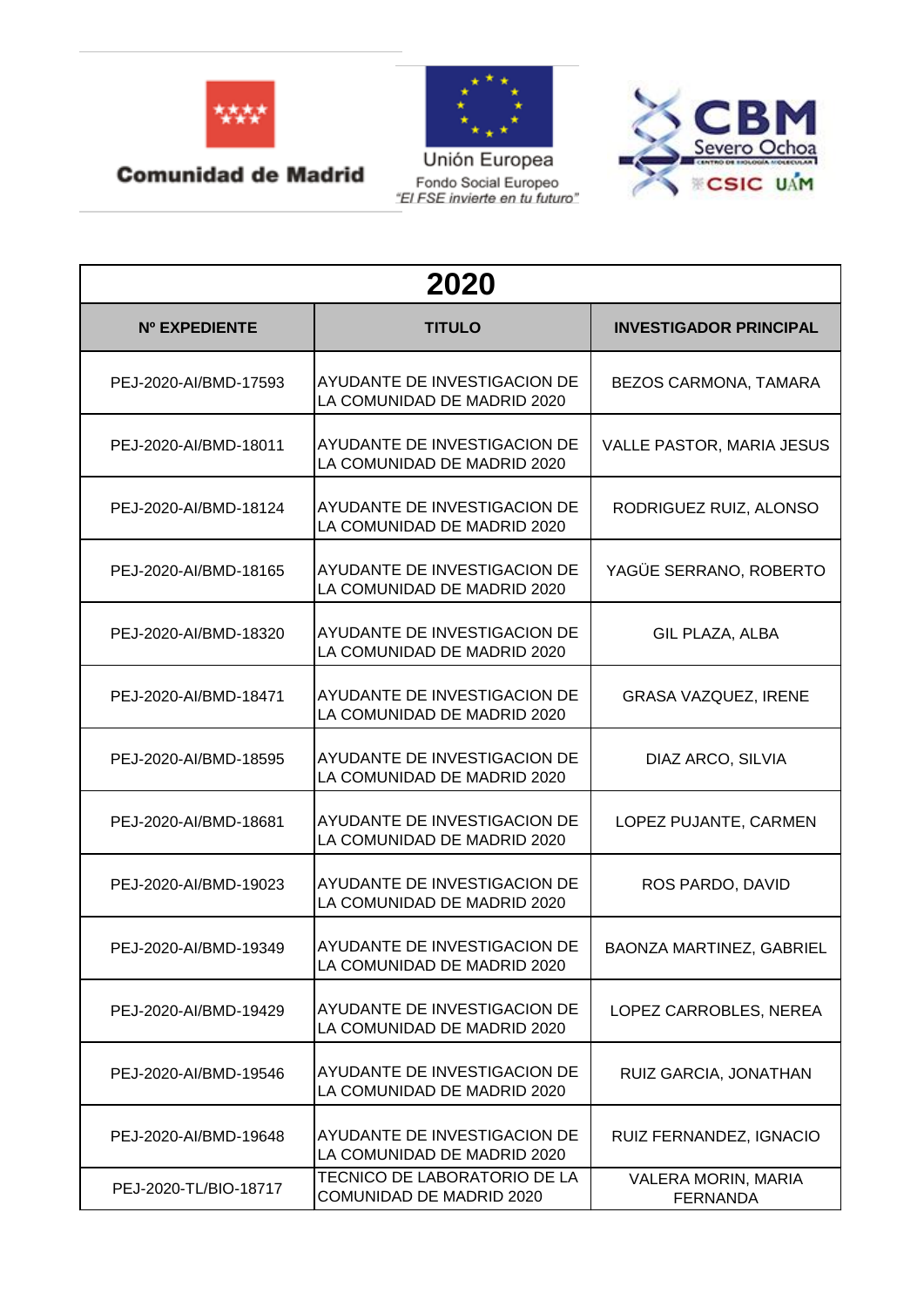



Unión Europea Fondo Social Europeo<br>"El FSE invierte en tu futuro"



| 2020                  |                                                             |                                               |
|-----------------------|-------------------------------------------------------------|-----------------------------------------------|
| <b>Nº EXPEDIENTE</b>  | <b>TITULO</b>                                               | <b>INVESTIGADOR PRINCIPAL</b>                 |
| PEJ-2020-AI/BMD-17593 | AYUDANTE DE INVESTIGACION DE<br>LA COMUNIDAD DE MADRID 2020 | BEZOS CARMONA, TAMARA                         |
| PEJ-2020-AI/BMD-18011 | AYUDANTE DE INVESTIGACION DE<br>LA COMUNIDAD DE MADRID 2020 | <b>VALLE PASTOR, MARIA JESUS</b>              |
| PEJ-2020-AI/BMD-18124 | AYUDANTE DE INVESTIGACION DE<br>LA COMUNIDAD DE MADRID 2020 | RODRIGUEZ RUIZ, ALONSO                        |
| PEJ-2020-AI/BMD-18165 | AYUDANTE DE INVESTIGACION DE<br>LA COMUNIDAD DE MADRID 2020 | YAGÜE SERRANO, ROBERTO                        |
| PEJ-2020-AI/BMD-18320 | AYUDANTE DE INVESTIGACION DE<br>LA COMUNIDAD DE MADRID 2020 | GIL PLAZA, ALBA                               |
| PEJ-2020-AI/BMD-18471 | AYUDANTE DE INVESTIGACION DE<br>LA COMUNIDAD DE MADRID 2020 | <b>GRASA VAZQUEZ, IRENE</b>                   |
| PEJ-2020-AI/BMD-18595 | AYUDANTE DE INVESTIGACION DE<br>LA COMUNIDAD DE MADRID 2020 | DIAZ ARCO, SILVIA                             |
| PEJ-2020-AI/BMD-18681 | AYUDANTE DE INVESTIGACION DE<br>LA COMUNIDAD DE MADRID 2020 | LOPEZ PUJANTE, CARMEN                         |
| PEJ-2020-AI/BMD-19023 | AYUDANTE DE INVESTIGACION DE<br>LA COMUNIDAD DE MADRID 2020 | ROS PARDO, DAVID                              |
| PEJ-2020-AI/BMD-19349 | AYUDANTE DE INVESTIGACION DE<br>LA COMUNIDAD DE MADRID 2020 | BAONZA MARTINEZ, GABRIEL                      |
| PEJ-2020-AI/BMD-19429 | AYUDANTE DE INVESTIGACION DE<br>LA COMUNIDAD DE MADRID 2020 | LOPEZ CARROBLES, NEREA                        |
| PEJ-2020-AI/BMD-19546 | AYUDANTE DE INVESTIGACION DE<br>LA COMUNIDAD DE MADRID 2020 | RUIZ GARCIA, JONATHAN                         |
| PEJ-2020-AI/BMD-19648 | AYUDANTE DE INVESTIGACION DE<br>LA COMUNIDAD DE MADRID 2020 | RUIZ FERNANDEZ, IGNACIO                       |
| PEJ-2020-TL/BIO-18717 | TECNICO DE LABORATORIO DE LA<br>COMUNIDAD DE MADRID 2020    | <b>VALERA MORIN, MARIA</b><br><b>FERNANDA</b> |